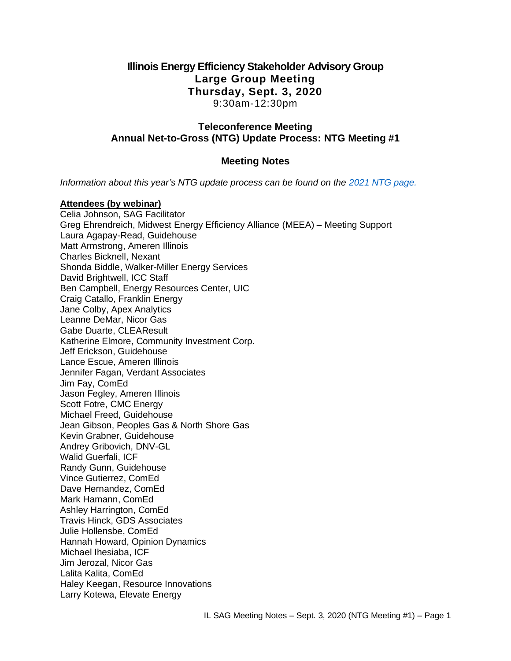## **Illinois Energy Efficiency Stakeholder Advisory Group Large Group Meeting Thursday, Sept. 3, 2020** 9:30am-12:30pm

### **Teleconference Meeting Annual Net-to-Gross (NTG) Update Process: NTG Meeting #1**

### **Meeting Notes**

*Information about this year's NTG update process can be found on the [2021 NTG page.](https://www.ilsag.info/evaluator-ntg-recommendations-for-2021/)*

#### **Attendees (by webinar)**

Celia Johnson, SAG Facilitator Greg Ehrendreich, Midwest Energy Efficiency Alliance (MEEA) – Meeting Support Laura Agapay-Read, Guidehouse Matt Armstrong, Ameren Illinois Charles Bicknell, Nexant Shonda Biddle, Walker-Miller Energy Services David Brightwell, ICC Staff Ben Campbell, Energy Resources Center, UIC Craig Catallo, Franklin Energy Jane Colby, Apex Analytics Leanne DeMar, Nicor Gas Gabe Duarte, CLEAResult Katherine Elmore, Community Investment Corp. Jeff Erickson, Guidehouse Lance Escue, Ameren Illinois Jennifer Fagan, Verdant Associates Jim Fay, ComEd Jason Fegley, Ameren Illinois Scott Fotre, CMC Energy Michael Freed, Guidehouse Jean Gibson, Peoples Gas & North Shore Gas Kevin Grabner, Guidehouse Andrey Gribovich, DNV-GL Walid Guerfali, ICF Randy Gunn, Guidehouse Vince Gutierrez, ComEd Dave Hernandez, ComEd Mark Hamann, ComEd Ashley Harrington, ComEd Travis Hinck, GDS Associates Julie Hollensbe, ComEd Hannah Howard, Opinion Dynamics Michael Ihesiaba, ICF Jim Jerozal, Nicor Gas Lalita Kalita, ComEd Haley Keegan, Resource Innovations Larry Kotewa, Elevate Energy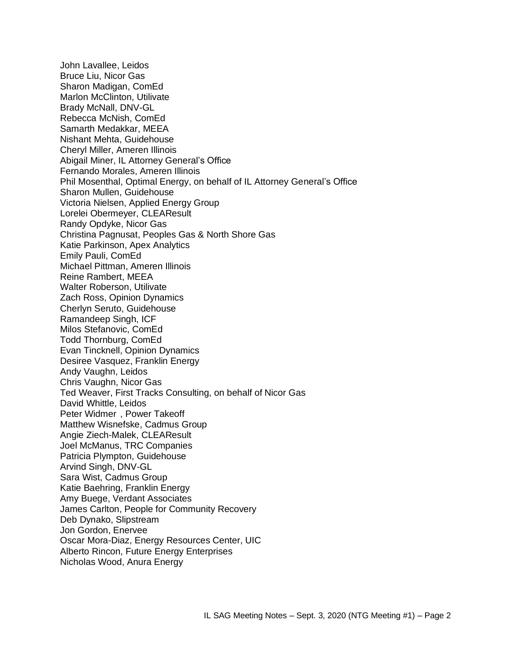John Lavallee, Leidos Bruce Liu, Nicor Gas Sharon Madigan, ComEd Marlon McClinton, Utilivate Brady McNall, DNV-GL Rebecca McNish, ComEd Samarth Medakkar, MEEA Nishant Mehta, Guidehouse Cheryl Miller, Ameren Illinois Abigail Miner, IL Attorney General's Office Fernando Morales, Ameren Illinois Phil Mosenthal, Optimal Energy, on behalf of IL Attorney General's Office Sharon Mullen, Guidehouse Victoria Nielsen, Applied Energy Group Lorelei Obermeyer, CLEAResult Randy Opdyke, Nicor Gas Christina Pagnusat, Peoples Gas & North Shore Gas Katie Parkinson, Apex Analytics Emily Pauli, ComEd Michael Pittman, Ameren Illinois Reine Rambert, MEEA Walter Roberson, Utilivate Zach Ross, Opinion Dynamics Cherlyn Seruto, Guidehouse Ramandeep Singh, ICF Milos Stefanovic, ComEd Todd Thornburg, ComEd Evan Tincknell, Opinion Dynamics Desiree Vasquez, Franklin Energy Andy Vaughn, Leidos Chris Vaughn, Nicor Gas Ted Weaver, First Tracks Consulting, on behalf of Nicor Gas David Whittle, Leidos Peter Widmer , Power Takeoff Matthew Wisnefske, Cadmus Group Angie Ziech-Malek, CLEAResult Joel McManus, TRC Companies Patricia Plympton, Guidehouse Arvind Singh, DNV-GL Sara Wist, Cadmus Group Katie Baehring, Franklin Energy Amy Buege, Verdant Associates James Carlton, People for Community Recovery Deb Dynako, Slipstream Jon Gordon, Enervee Oscar Mora-Diaz, Energy Resources Center, UIC Alberto Rincon, Future Energy Enterprises Nicholas Wood, Anura Energy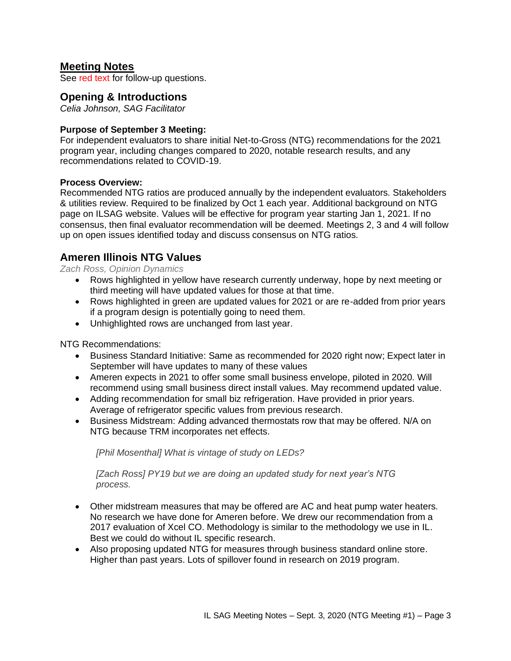## **Meeting Notes**

See red text for follow-up questions.

### **Opening & Introductions**

*Celia Johnson, SAG Facilitator*

### **Purpose of September 3 Meeting:**

For independent evaluators to share initial Net-to-Gross (NTG) recommendations for the 2021 program year, including changes compared to 2020, notable research results, and any recommendations related to COVID-19.

#### **Process Overview:**

Recommended NTG ratios are produced annually by the independent evaluators. Stakeholders & utilities review. Required to be finalized by Oct 1 each year. Additional background on NTG page on ILSAG website. Values will be effective for program year starting Jan 1, 2021. If no consensus, then final evaluator recommendation will be deemed. Meetings 2, 3 and 4 will follow up on open issues identified today and discuss consensus on NTG ratios.

### **Ameren Illinois NTG Values**

*Zach Ross, Opinion Dynamics*

- Rows highlighted in yellow have research currently underway, hope by next meeting or third meeting will have updated values for those at that time.
- Rows highlighted in green are updated values for 2021 or are re-added from prior years if a program design is potentially going to need them.
- Unhighlighted rows are unchanged from last year.

NTG Recommendations:

- Business Standard Initiative: Same as recommended for 2020 right now; Expect later in September will have updates to many of these values
- Ameren expects in 2021 to offer some small business envelope, piloted in 2020. Will recommend using small business direct install values. May recommend updated value.
- Adding recommendation for small biz refrigeration. Have provided in prior years. Average of refrigerator specific values from previous research.
- Business Midstream: Adding advanced thermostats row that may be offered. N/A on NTG because TRM incorporates net effects.

*[Phil Mosenthal] What is vintage of study on LEDs?*

*[Zach Ross] PY19 but we are doing an updated study for next year's NTG process.*

- Other midstream measures that may be offered are AC and heat pump water heaters. No research we have done for Ameren before. We drew our recommendation from a 2017 evaluation of Xcel CO. Methodology is similar to the methodology we use in IL. Best we could do without IL specific research.
- Also proposing updated NTG for measures through business standard online store. Higher than past years. Lots of spillover found in research on 2019 program.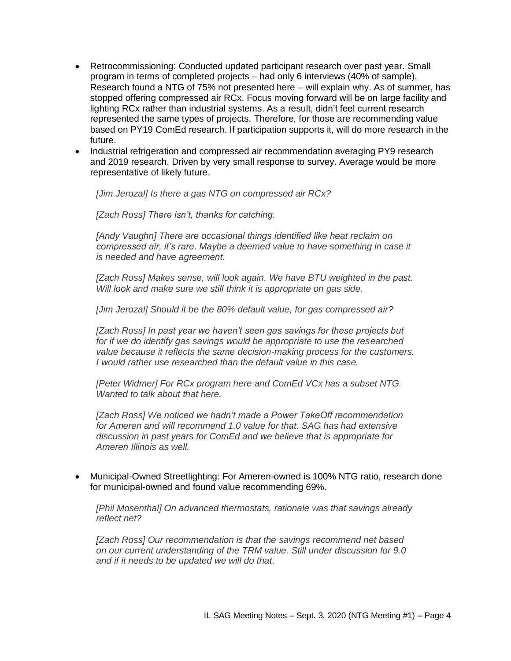- Retrocommissioning: Conducted updated participant research over past year. Small program in terms of completed projects – had only 6 interviews (40% of sample). Research found a NTG of 75% not presented here – will explain why. As of summer, has stopped offering compressed air RCx. Focus moving forward will be on large facility and lighting RCx rather than industrial systems. As a result, didn't feel current research represented the same types of projects. Therefore, for those are recommending value based on PY19 ComEd research. If participation supports it, will do more research in the future.
- Industrial refrigeration and compressed air recommendation averaging PY9 research and 2019 research. Driven by very small response to survey. Average would be more representative of likely future.

*[Jim Jerozal] Is there a gas NTG on compressed air RCx?*

*[Zach Ross] There isn't, thanks for catching.*

*[Andy Vaughn] There are occasional things identified like heat reclaim on compressed air, it's rare. Maybe a deemed value to have something in case it is needed and have agreement.*

*[Zach Ross] Makes sense, will look again. We have BTU weighted in the past. Will look and make sure we still think it is appropriate on gas side.*

*[Jim Jerozal] Should it be the 80% default value, for gas compressed air?*

*[Zach Ross] In past year we haven't seen gas savings for these projects but for if we do identify gas savings would be appropriate to use the researched value because it reflects the same decision-making process for the customers. I would rather use researched than the default value in this case.*

*[Peter Widmer] For RCx program here and ComEd VCx has a subset NTG. Wanted to talk about that here.* 

*[Zach Ross] We noticed we hadn't made a Power TakeOff recommendation for Ameren and will recommend 1.0 value for that. SAG has had extensive discussion in past years for ComEd and we believe that is appropriate for Ameren Illinois as well.* 

• Municipal-Owned Streetlighting: For Ameren-owned is 100% NTG ratio, research done for municipal-owned and found value recommending 69%.

*[Phil Mosenthal] On advanced thermostats, rationale was that savings already reflect net?*

*[Zach Ross] Our recommendation is that the savings recommend net based on our current understanding of the TRM value. Still under discussion for 9.0 and if it needs to be updated we will do that.*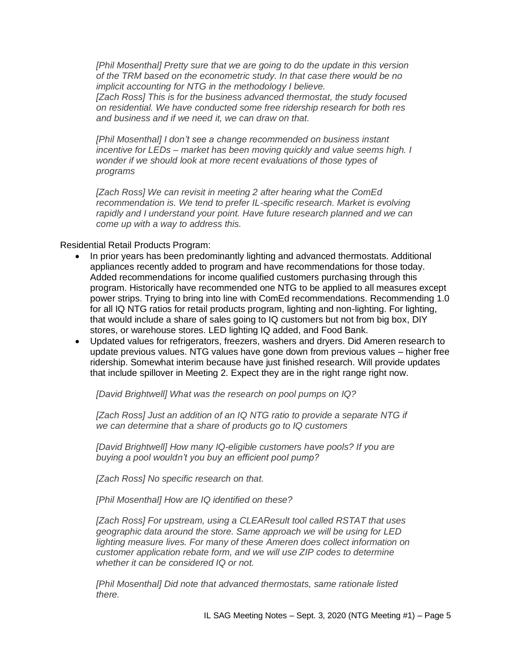*[Phil Mosenthal] Pretty sure that we are going to do the update in this version of the TRM based on the econometric study. In that case there would be no implicit accounting for NTG in the methodology I believe.*

*[Zach Ross] This is for the business advanced thermostat, the study focused on residential. We have conducted some free ridership research for both res and business and if we need it, we can draw on that.*

*[Phil Mosenthal] I don't see a change recommended on business instant incentive for LEDs – market has been moving quickly and value seems high. I wonder if we should look at more recent evaluations of those types of programs*

*[Zach Ross] We can revisit in meeting 2 after hearing what the ComEd recommendation is. We tend to prefer IL-specific research. Market is evolving rapidly and I understand your point. Have future research planned and we can come up with a way to address this.*

Residential Retail Products Program:

- In prior years has been predominantly lighting and advanced thermostats. Additional appliances recently added to program and have recommendations for those today. Added recommendations for income qualified customers purchasing through this program. Historically have recommended one NTG to be applied to all measures except power strips. Trying to bring into line with ComEd recommendations. Recommending 1.0 for all IQ NTG ratios for retail products program, lighting and non-lighting. For lighting, that would include a share of sales going to IQ customers but not from big box, DIY stores, or warehouse stores. LED lighting IQ added, and Food Bank.
- Updated values for refrigerators, freezers, washers and dryers. Did Ameren research to update previous values. NTG values have gone down from previous values – higher free ridership. Somewhat interim because have just finished research. Will provide updates that include spillover in Meeting 2. Expect they are in the right range right now.

*[David Brightwell] What was the research on pool pumps on IQ?*

*[Zach Ross] Just an addition of an IQ NTG ratio to provide a separate NTG if we can determine that a share of products go to IQ customers*

*[David Brightwell] How many IQ-eligible customers have pools? If you are buying a pool wouldn't you buy an efficient pool pump?*

*[Zach Ross] No specific research on that.*

*[Phil Mosenthal] How are IQ identified on these?*

*[Zach Ross] For upstream, using a CLEAResult tool called RSTAT that uses geographic data around the store. Same approach we will be using for LED lighting measure lives. For many of these Ameren does collect information on customer application rebate form, and we will use ZIP codes to determine whether it can be considered IQ or not.*

*[Phil Mosenthal] Did note that advanced thermostats, same rationale listed there.*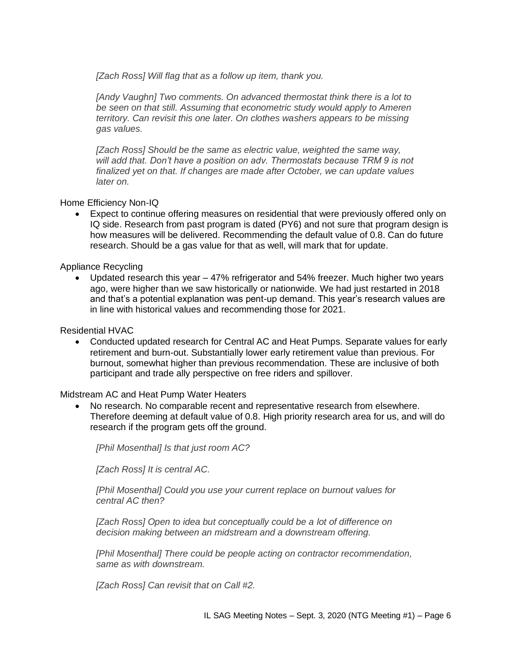*[Zach Ross] Will flag that as a follow up item, thank you.*

*[Andy Vaughn] Two comments. On advanced thermostat think there is a lot to be seen on that still. Assuming that econometric study would apply to Ameren territory. Can revisit this one later. On clothes washers appears to be missing gas values.*

*[Zach Ross] Should be the same as electric value, weighted the same way, will add that. Don't have a position on adv. Thermostats because TRM 9 is not finalized yet on that. If changes are made after October, we can update values later on.*

Home Efficiency Non-IQ

• Expect to continue offering measures on residential that were previously offered only on IQ side. Research from past program is dated (PY6) and not sure that program design is how measures will be delivered. Recommending the default value of 0.8. Can do future research. Should be a gas value for that as well, will mark that for update.

Appliance Recycling

• Updated research this year – 47% refrigerator and 54% freezer. Much higher two years ago, were higher than we saw historically or nationwide. We had just restarted in 2018 and that's a potential explanation was pent-up demand. This year's research values are in line with historical values and recommending those for 2021.

Residential HVAC

• Conducted updated research for Central AC and Heat Pumps. Separate values for early retirement and burn-out. Substantially lower early retirement value than previous. For burnout, somewhat higher than previous recommendation. These are inclusive of both participant and trade ally perspective on free riders and spillover.

Midstream AC and Heat Pump Water Heaters

• No research. No comparable recent and representative research from elsewhere. Therefore deeming at default value of 0.8. High priority research area for us, and will do research if the program gets off the ground.

*[Phil Mosenthal] Is that just room AC?*

*[Zach Ross] It is central AC.*

*[Phil Mosenthal] Could you use your current replace on burnout values for central AC then?*

*[Zach Ross] Open to idea but conceptually could be a lot of difference on decision making between an midstream and a downstream offering.*

*[Phil Mosenthal] There could be people acting on contractor recommendation, same as with downstream.*

*[Zach Ross] Can revisit that on Call #2.*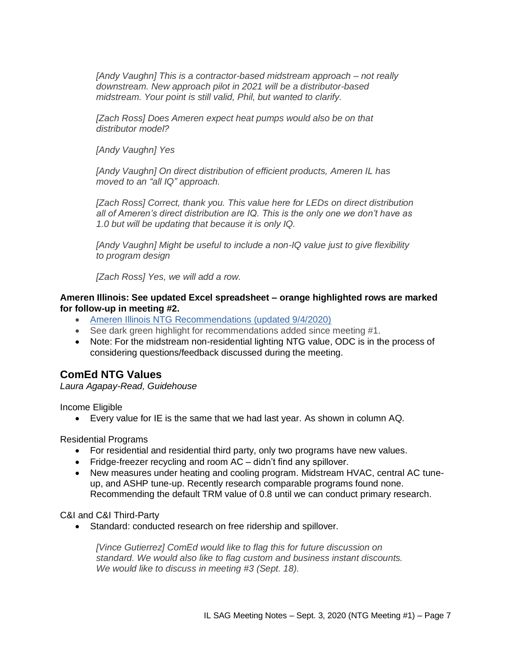*[Andy Vaughn] This is a contractor-based midstream approach – not really downstream. New approach pilot in 2021 will be a distributor-based midstream. Your point is still valid, Phil, but wanted to clarify.*

*[Zach Ross] Does Ameren expect heat pumps would also be on that distributor model?*

*[Andy Vaughn] Yes*

*[Andy Vaughn] On direct distribution of efficient products, Ameren IL has moved to an "all IQ" approach.* 

*[Zach Ross] Correct, thank you. This value here for LEDs on direct distribution all of Ameren's direct distribution are IQ. This is the only one we don't have as 1.0 but will be updating that because it is only IQ.* 

*[Andy Vaughn] Might be useful to include a non-IQ value just to give flexibility to program design*

*[Zach Ross] Yes, we will add a row.*

### **Ameren Illinois: See updated Excel spreadsheet – orange highlighted rows are marked for follow-up in meeting #2.**

- [Ameren Illinois NTG Recommendations \(updated 9/4/2020\)](https://ilsag.s3.amazonaws.com/AIC-2021-NTGR-Recommendations-for-SAG-INTERIM-2020-09-04-NOTES.xlsx)
- See dark green highlight for recommendations added since meeting #1.
- Note: For the midstream non-residential lighting NTG value, ODC is in the process of considering questions/feedback discussed during the meeting.

## **ComEd NTG Values**

*Laura Agapay-Read, Guidehouse*

Income Eligible

• Every value for IE is the same that we had last year. As shown in column AQ.

Residential Programs

- For residential and residential third party, only two programs have new values.
- Fridge-freezer recycling and room AC didn't find any spillover.
- New measures under heating and cooling program. Midstream HVAC, central AC tuneup, and ASHP tune-up. Recently research comparable programs found none. Recommending the default TRM value of 0.8 until we can conduct primary research.

C&I and C&I Third-Party

• Standard: conducted research on free ridership and spillover.

*[Vince Gutierrez] ComEd would like to flag this for future discussion on standard. We would also like to flag custom and business instant discounts. We would like to discuss in meeting #3 (Sept. 18).*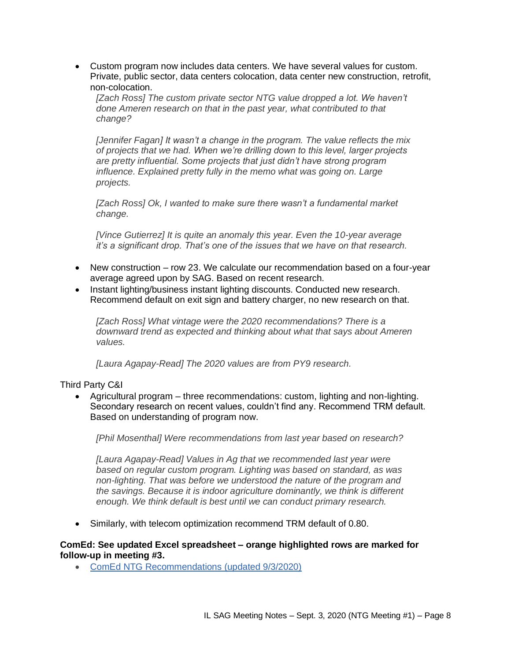• Custom program now includes data centers. We have several values for custom. Private, public sector, data centers colocation, data center new construction, retrofit, non-colocation.

*[Zach Ross] The custom private sector NTG value dropped a lot. We haven't done Ameren research on that in the past year, what contributed to that change?*

*[Jennifer Fagan] It wasn't a change in the program. The value reflects the mix of projects that we had. When we're drilling down to this level, larger projects are pretty influential. Some projects that just didn't have strong program influence. Explained pretty fully in the memo what was going on. Large projects.*

*[Zach Ross] Ok, I wanted to make sure there wasn't a fundamental market change.*

*[Vince Gutierrez] It is quite an anomaly this year. Even the 10-year average it's a significant drop. That's one of the issues that we have on that research.* 

- New construction row 23. We calculate our recommendation based on a four-year average agreed upon by SAG. Based on recent research.
- Instant lighting/business instant lighting discounts. Conducted new research. Recommend default on exit sign and battery charger, no new research on that.

*[Zach Ross] What vintage were the 2020 recommendations? There is a downward trend as expected and thinking about what that says about Ameren values.*

*[Laura Agapay-Read] The 2020 values are from PY9 research.*

#### Third Party C&I

• Agricultural program – three recommendations: custom, lighting and non-lighting. Secondary research on recent values, couldn't find any. Recommend TRM default. Based on understanding of program now.

*[Phil Mosenthal] Were recommendations from last year based on research?*

*[Laura Agapay-Read] Values in Ag that we recommended last year were based on regular custom program. Lighting was based on standard, as was non-lighting. That was before we understood the nature of the program and the savings. Because it is indoor agriculture dominantly, we think is different enough. We think default is best until we can conduct primary research.*

• Similarly, with telecom optimization recommend TRM default of 0.80.

#### **ComEd: See updated Excel spreadsheet – orange highlighted rows are marked for follow-up in meeting #3.**

• [ComEd NTG Recommendations \(updated 9/3/2020\)](https://ilsag.s3.amazonaws.com/ComEd-NTG-History-and-CY2021-Recs_DRAFT_9-3-NOTES.xlsx)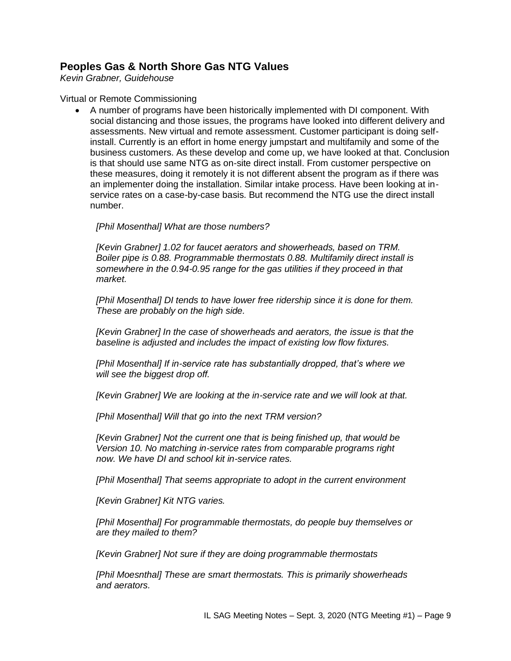# **Peoples Gas & North Shore Gas NTG Values**

*Kevin Grabner, Guidehouse*

### Virtual or Remote Commissioning

• A number of programs have been historically implemented with DI component. With social distancing and those issues, the programs have looked into different delivery and assessments. New virtual and remote assessment. Customer participant is doing selfinstall. Currently is an effort in home energy jumpstart and multifamily and some of the business customers. As these develop and come up, we have looked at that. Conclusion is that should use same NTG as on-site direct install. From customer perspective on these measures, doing it remotely it is not different absent the program as if there was an implementer doing the installation. Similar intake process. Have been looking at inservice rates on a case-by-case basis. But recommend the NTG use the direct install number.

*[Phil Mosenthal] What are those numbers?*

*[Kevin Grabner] 1.02 for faucet aerators and showerheads, based on TRM. Boiler pipe is 0.88. Programmable thermostats 0.88. Multifamily direct install is somewhere in the 0.94-0.95 range for the gas utilities if they proceed in that market.* 

*[Phil Mosenthal] DI tends to have lower free ridership since it is done for them. These are probably on the high side.*

*[Kevin Grabner] In the case of showerheads and aerators, the issue is that the baseline is adjusted and includes the impact of existing low flow fixtures.*

*[Phil Mosenthal] If in-service rate has substantially dropped, that's where we will see the biggest drop off.*

*[Kevin Grabner] We are looking at the in-service rate and we will look at that.*

*[Phil Mosenthal] Will that go into the next TRM version?*

*[Kevin Grabner] Not the current one that is being finished up, that would be Version 10. No matching in-service rates from comparable programs right now. We have DI and school kit in-service rates.* 

*[Phil Mosenthal] That seems appropriate to adopt in the current environment*

*[Kevin Grabner] Kit NTG varies.*

*[Phil Mosenthal] For programmable thermostats, do people buy themselves or are they mailed to them?*

*[Kevin Grabner] Not sure if they are doing programmable thermostats*

*[Phil Moesnthal] These are smart thermostats. This is primarily showerheads and aerators.*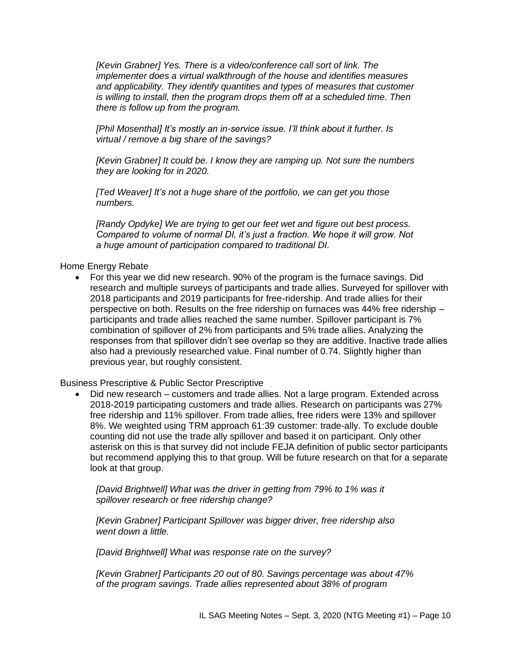*[Kevin Grabner] Yes. There is a video/conference call sort of link. The implementer does a virtual walkthrough of the house and identifies measures and applicability. They identify quantities and types of measures that customer is willing to install, then the program drops them off at a scheduled time. Then there is follow up from the program.*

*[Phil Mosenthal] It's mostly an in-service issue. I'll think about it further. Is virtual / remove a big share of the savings?*

*[Kevin Grabner] It could be. I know they are ramping up. Not sure the numbers they are looking for in 2020.* 

*[Ted Weaver] It's not a huge share of the portfolio, we can get you those numbers.*

*[Randy Opdyke] We are trying to get our feet wet and figure out best process. Compared to volume of normal DI, it's just a fraction. We hope it will grow. Not a huge amount of participation compared to traditional DI.*

Home Energy Rebate

• For this year we did new research. 90% of the program is the furnace savings. Did research and multiple surveys of participants and trade allies. Surveyed for spillover with 2018 participants and 2019 participants for free-ridership. And trade allies for their perspective on both. Results on the free ridership on furnaces was 44% free ridership – participants and trade allies reached the same number. Spillover participant is 7% combination of spillover of 2% from participants and 5% trade allies. Analyzing the responses from that spillover didn't see overlap so they are additive. Inactive trade allies also had a previously researched value. Final number of 0.74. Slightly higher than previous year, but roughly consistent.

Business Prescriptive & Public Sector Prescriptive

• Did new research – customers and trade allies. Not a large program. Extended across 2018-2019 participating customers and trade allies. Research on participants was 27% free ridership and 11% spillover. From trade allies, free riders were 13% and spillover 8%. We weighted using TRM approach 61:39 customer: trade-ally. To exclude double counting did not use the trade ally spillover and based it on participant. Only other asterisk on this is that survey did not include FEJA definition of public sector participants but recommend applying this to that group. Will be future research on that for a separate look at that group.

*[David Brightwell] What was the driver in getting from 79% to 1% was it spillover research or free ridership change?*

*[Kevin Grabner] Participant Spillover was bigger driver, free ridership also went down a little.* 

*[David Brightwell] What was response rate on the survey?*

*[Kevin Grabner] Participants 20 out of 80. Savings percentage was about 47% of the program savings. Trade allies represented about 38% of program*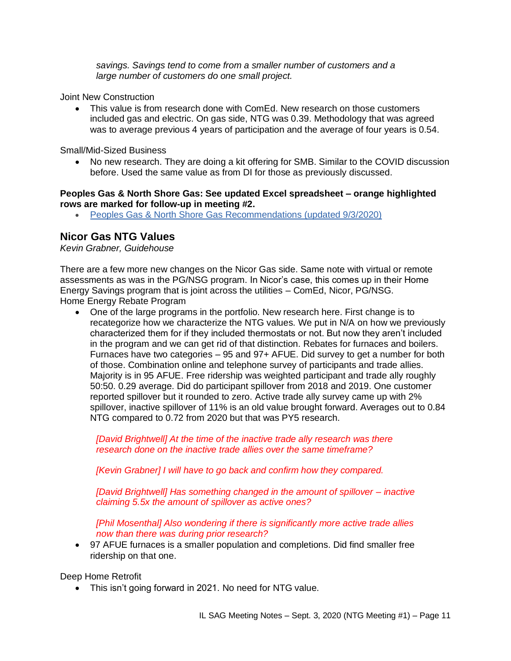*savings. Savings tend to come from a smaller number of customers and a large number of customers do one small project.* 

Joint New Construction

• This value is from research done with ComEd. New research on those customers included gas and electric. On gas side, NTG was 0.39. Methodology that was agreed was to average previous 4 years of participation and the average of four years is 0.54.

Small/Mid-Sized Business

• No new research. They are doing a kit offering for SMB. Similar to the COVID discussion before. Used the same value as from DI for those as previously discussed.

**Peoples Gas & North Shore Gas: See updated Excel spreadsheet – orange highlighted rows are marked for follow-up in meeting #2.**

• [Peoples Gas & North Shore Gas Recommendations \(updated 9/3/2020\)](https://ilsag.s3.amazonaws.com/PGL-NSG_NTG_History_and_2021_Values-Eval-Recs_DRAFT_9-3-NOTES.xlsx)

## **Nicor Gas NTG Values**

*Kevin Grabner, Guidehouse*

There are a few more new changes on the Nicor Gas side. Same note with virtual or remote assessments as was in the PG/NSG program. In Nicor's case, this comes up in their Home Energy Savings program that is joint across the utilities – ComEd, Nicor, PG/NSG. Home Energy Rebate Program

• One of the large programs in the portfolio. New research here. First change is to recategorize how we characterize the NTG values. We put in N/A on how we previously characterized them for if they included thermostats or not. But now they aren't included in the program and we can get rid of that distinction. Rebates for furnaces and boilers. Furnaces have two categories – 95 and 97+ AFUE. Did survey to get a number for both of those. Combination online and telephone survey of participants and trade allies. Majority is in 95 AFUE. Free ridership was weighted participant and trade ally roughly 50:50. 0.29 average. Did do participant spillover from 2018 and 2019. One customer reported spillover but it rounded to zero. Active trade ally survey came up with 2% spillover, inactive spillover of 11% is an old value brought forward. Averages out to 0.84 NTG compared to 0.72 from 2020 but that was PY5 research.

*[David Brightwell] At the time of the inactive trade ally research was there research done on the inactive trade allies over the same timeframe?*

*[Kevin Grabner] I will have to go back and confirm how they compared.*

*[David Brightwell] Has something changed in the amount of spillover – inactive claiming 5.5x the amount of spillover as active ones?*

*[Phil Mosenthal] Also wondering if there is significantly more active trade allies now than there was during prior research?*

• 97 AFUE furnaces is a smaller population and completions. Did find smaller free ridership on that one.

Deep Home Retrofit

• This isn't going forward in 2021. No need for NTG value.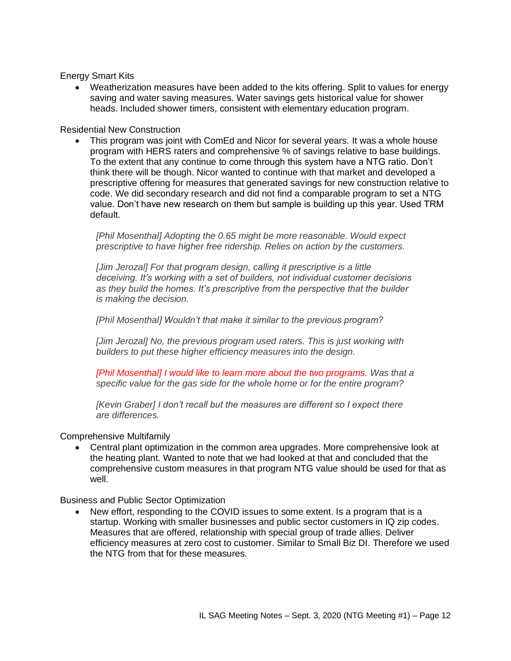Energy Smart Kits

• Weatherization measures have been added to the kits offering. Split to values for energy saving and water saving measures. Water savings gets historical value for shower heads. Included shower timers, consistent with elementary education program.

Residential New Construction

• This program was joint with ComEd and Nicor for several years. It was a whole house program with HERS raters and comprehensive % of savings relative to base buildings. To the extent that any continue to come through this system have a NTG ratio. Don't think there will be though. Nicor wanted to continue with that market and developed a prescriptive offering for measures that generated savings for new construction relative to code. We did secondary research and did not find a comparable program to set a NTG value. Don't have new research on them but sample is building up this year. Used TRM default.

*[Phil Mosenthal] Adopting the 0.65 might be more reasonable. Would expect prescriptive to have higher free ridership. Relies on action by the customers.* 

*[Jim Jerozal] For that program design, calling it prescriptive is a little deceiving. It's working with a set of builders, not individual customer decisions as they build the homes. It's prescriptive from the perspective that the builder is making the decision.*

*[Phil Mosenthal] Wouldn't that make it similar to the previous program?*

*[Jim Jerozal] No, the previous program used raters. This is just working with builders to put these higher efficiency measures into the design.* 

*[Phil Mosenthal] I would like to learn more about the two programs. Was that a specific value for the gas side for the whole home or for the entire program?*

*[Kevin Graber] I don't recall but the measures are different so I expect there are differences.*

### Comprehensive Multifamily

• Central plant optimization in the common area upgrades. More comprehensive look at the heating plant. Wanted to note that we had looked at that and concluded that the comprehensive custom measures in that program NTG value should be used for that as well.

Business and Public Sector Optimization

New effort, responding to the COVID issues to some extent. Is a program that is a startup. Working with smaller businesses and public sector customers in IQ zip codes. Measures that are offered, relationship with special group of trade allies. Deliver efficiency measures at zero cost to customer. Similar to Small Biz DI. Therefore we used the NTG from that for these measures.